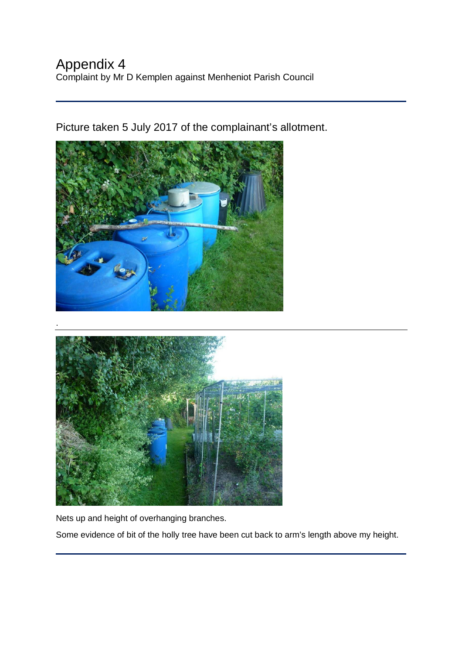Picture taken 5 July 2017 of the complainant's allotment.





Nets up and height of overhanging branches.

Some evidence of bit of the holly tree have been cut back to arm's length above my height.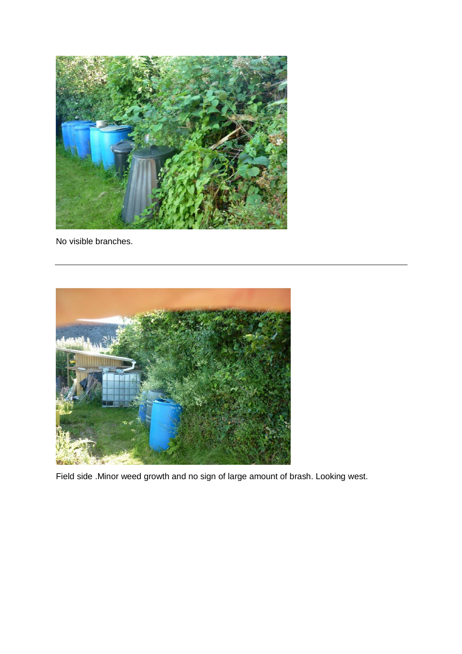

No visible branches.



Field side .Minor weed growth and no sign of large amount of brash. Looking west.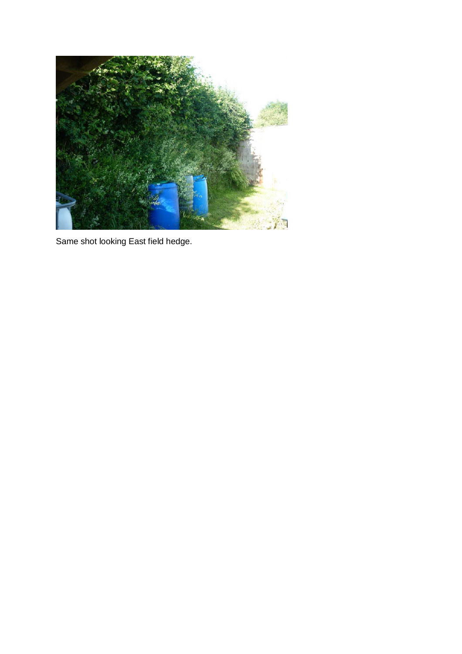

Same shot looking East field hedge.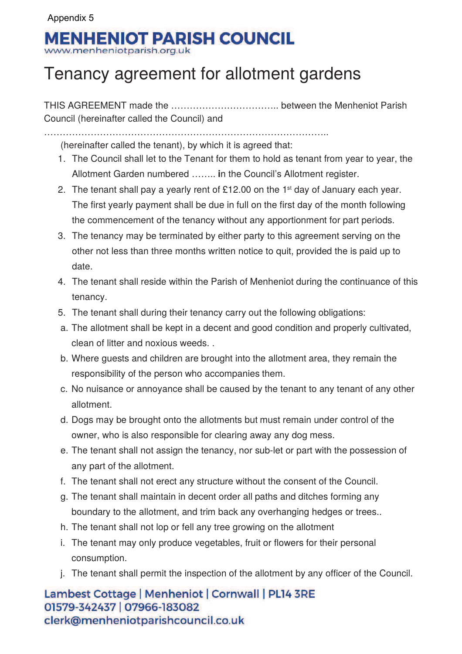## Appendix 5**MENHENIOT PARISH COUNCIL**

www.menheniotparish.org.uk

## Tenancy agreement for allotment gardens

THIS AGREEMENT made the …………………………….. between the Menheniot Parish Council (hereinafter called the Council) and

. The same state of the state of the state of the state of the state of the state of the state of the state of the state of the state of the state of the state of the state of the state of the state of the state of the st

(hereinafter called the tenant), by which it is agreed that:

- 1. The Council shall let to the Tenant for them to hold as tenant from year to year, the Allotment Garden numbered …….. **i**n the Council's Allotment register.
- 2. The tenant shall pay a yearly rent of £12.00 on the 1<sup>st</sup> day of January each year. The first yearly payment shall be due in full on the first day of the month following the commencement of the tenancy without any apportionment for part periods.
- 3. The tenancy may be terminated by either party to this agreement serving on the other not less than three months written notice to quit, provided the is paid up to date.
- 4. The tenant shall reside within the Parish of Menheniot during the continuance of this tenancy.
- 5. The tenant shall during their tenancy carry out the following obligations:
- a. The allotment shall be kept in a decent and good condition and properly cultivated, clean of litter and noxious weeds. .
- b. Where guests and children are brought into the allotment area, they remain the responsibility of the person who accompanies them.
- c. No nuisance or annoyance shall be caused by the tenant to any tenant of any other allotment.
- d. Dogs may be brought onto the allotments but must remain under control of the owner, who is also responsible for clearing away any dog mess.
- e. The tenant shall not assign the tenancy, nor sub-let or part with the possession of any part of the allotment.
- f. The tenant shall not erect any structure without the consent of the Council.
- g. The tenant shall maintain in decent order all paths and ditches forming any boundary to the allotment, and trim back any overhanging hedges or trees..
- h. The tenant shall not lop or fell any tree growing on the allotment
- i. The tenant may only produce vegetables, fruit or flowers for their personal consumption.
- j. The tenant shall permit the inspection of the allotment by any officer of the Council.

Lambest Cottage | Menheniot | Cornwall | PL14 3RE 01579-342437 | 07966-183082 clerk@menheniotparishcouncil.co.uk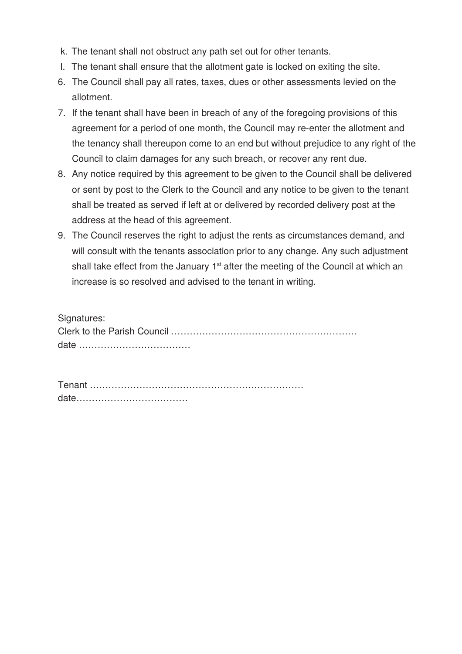- k. The tenant shall not obstruct any path set out for other tenants.
- l. The tenant shall ensure that the allotment gate is locked on exiting the site.
- 6. The Council shall pay all rates, taxes, dues or other assessments levied on the allotment.
- 7. If the tenant shall have been in breach of any of the foregoing provisions of this agreement for a period of one month, the Council may re-enter the allotment and the tenancy shall thereupon come to an end but without prejudice to any right of the Council to claim damages for any such breach, or recover any rent due.
- 8. Any notice required by this agreement to be given to the Council shall be delivered or sent by post to the Clerk to the Council and any notice to be given to the tenant shall be treated as served if left at or delivered by recorded delivery post at the address at the head of this agreement.
- 9. The Council reserves the right to adjust the rents as circumstances demand, and will consult with the tenants association prior to any change. Any such adjustment shall take effect from the January  $1<sup>st</sup>$  after the meeting of the Council at which an increase is so resolved and advised to the tenant in writing.

| Signatures: |
|-------------|
|             |
|             |

Tenant …………………………………………………………… date………………………………